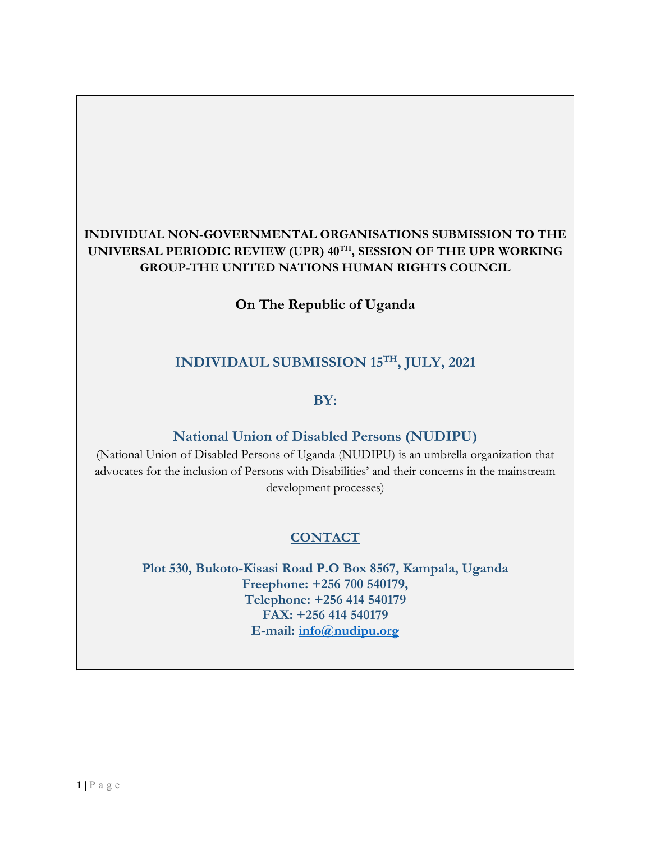## **INDIVIDUAL NON-GOVERNMENTAL ORGANISATIONS SUBMISSION TO THE UNIVERSAL PERIODIC REVIEW (UPR) <sup>40</sup>TH , SESSION OF THE UPR WORKING GROUP-THE UNITED NATIONS HUMAN RIGHTS COUNCIL**

**On The Republic of Uganda**

# **INDIVIDAUL SUBMISSION 15TH , JULY, 2021**

#### **BY:**

#### **National Union of Disabled Persons (NUDIPU)**

(National Union of Disabled Persons of Uganda (NUDIPU) is an umbrella organization that advocates for the inclusion of Persons with Disabilities' and their concerns in the mainstream development processes)

# **CONTACT**

**Plot 530, Bukoto-Kisasi Road P.O Box 8567, Kampala, Uganda Freephone: +256 700 540179, Telephone: +256 414 540179 FAX: +256 414 540179 E-mail: [info@nudipu.org](mailto:info@nudipu.org)**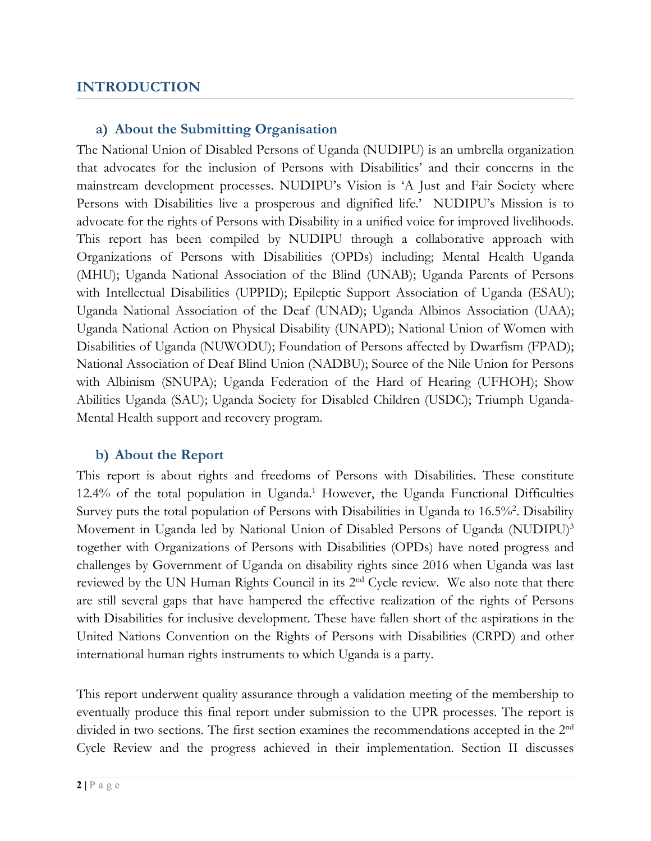#### **INTRODUCTION**

#### **a) About the Submitting Organisation**

The National Union of Disabled Persons of Uganda (NUDIPU) is an umbrella organization that advocates for the inclusion of Persons with Disabilities' and their concerns in the mainstream development processes. NUDIPU'<sup>s</sup> Vision is 'A Just and Fair Society where Persons with Disabilities live <sup>a</sup> prosperous and dignified life.' NUDIPU'<sup>s</sup> Mission is to advocate for the rights of Persons with Disability in <sup>a</sup> unified voice for improved livelihoods. This report has been compiled by NUDIPU through <sup>a</sup> collaborative approach with Organizations of Persons with Disabilities (OPDs) including; Mental Health Uganda (MHU); Uganda National Association of the Blind (UNAB); Uganda Parents of Persons with Intellectual Disabilities (UPPID); Epileptic Support Association of Uganda (ESAU); Uganda National Association of the Deaf (UNAD); Uganda Albinos Association (UAA); Uganda National Action on Physical Disability (UNAPD); National Union of Women with Disabilities of Uganda (NUWODU); Foundation of Persons affected by Dwarfism (FPAD); National Association of Deaf Blind Union (NADBU); Source of the Nile Union for Persons with Albinism (SNUPA); Uganda Federation of the Hard of Hearing (UFHOH); Show Abilities Uganda (SAU); Uganda Society for Disabled Children (USDC); Triumph Uganda-Mental Health support and recovery program.

#### **b) About the Report**

This report is about rights and freedoms of Persons with Disabilities. These constitute 12.4% of the total population in Uganda. 1 However, the Uganda Functional Difficulties Survey puts the total population of Persons with Disabilities in Uganda to 16.5%<sup>2</sup>. Disability Movement in Uganda led by National Union of Disabled Persons of Uganda (NUDIPU) 3 together with Organizations of Persons with Disabilities (OPDs) have noted progress and challenges by Government of Uganda on disability rights since 2016 when Uganda was last reviewed by the UN Human Rights Council in its 2<sup>nd</sup> Cycle review. We also note that there are still several gaps that have hampered the effective realization of the rights of Persons with Disabilities for inclusive development. These have fallen short of the aspirations in the United Nations Convention on the Rights of Persons with Disabilities (CRPD) and other international human rights instruments to which Uganda is <sup>a</sup> party.

This report underwent quality assurance through <sup>a</sup> validation meeting of the membership to eventually produce this final report under submission to the UPR processes. The report is divided in two sections. The first section examines the recommendations accepte<sup>d</sup> in the <sup>2</sup>nd Cycle Review and the progress achieved in their implementation. Section II discusses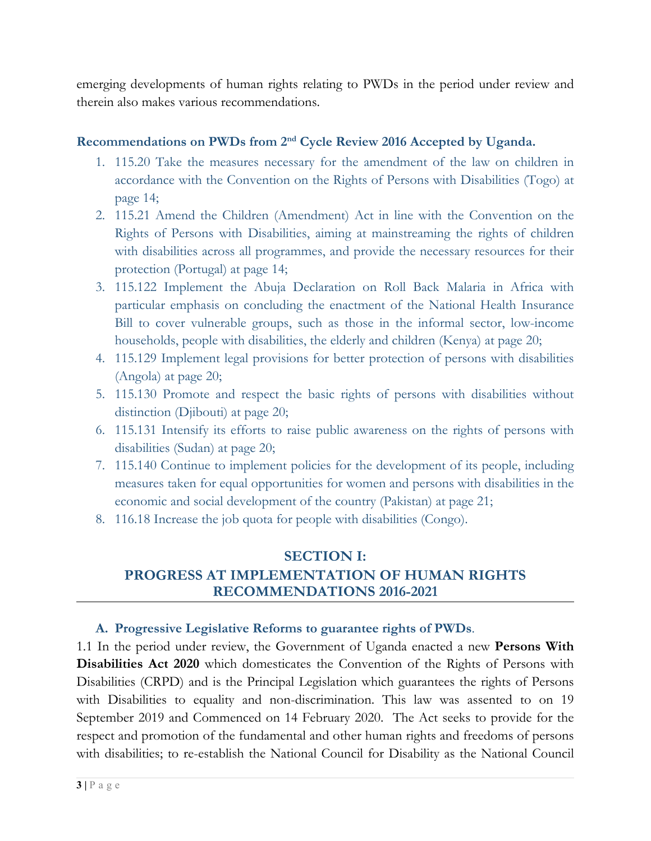emerging developments of human rights relating to PWDs in the period under review and therein also makes various recommendations.

#### **Recommendations on PWDs from <sup>2</sup>nd Cycle Review <sup>2016</sup> Accepted by Uganda.**

- 1. 115.20 Take the measures necessary for the amendment of the law on children in accordance with the Convention on the Rights of Persons with Disabilities (Togo) at page 14;
- 2. 115.21 Amend the Children (Amendment) Act in line with the Convention on the Rights of Persons with Disabilities, aiming at mainstreaming the rights of children with disabilities across all programmes, and provide the necessary resources for their protection (Portugal) at page 14;
- 3. 115.122 Implement the Abuja Declaration on Roll Back Malaria in Africa with particular emphasis on concluding the enactment of the National Health Insurance Bill to cover vulnerable groups, such as those in the informal sector, low-income households, people with disabilities, the elderly and children (Kenya) at page 20;
- 4. 115.129 Implement legal provisions for better protection of persons with disabilities (Angola) at page 20;
- 5. 115.130 Promote and respect the basic rights of persons with disabilities without distinction (Djibouti) at page 20;
- 6. 115.131 Intensify its efforts to raise public awareness on the rights of persons with disabilities (Sudan) at page 20;
- 7. 115.140 Continue to implement policies for the development of its people, including measures taken for equal opportunities for women and persons with disabilities in the economic and social development of the country (Pakistan) at page 21;
- 8. 116.18 Increase the job quota for people with disabilities (Congo).

## **SECTION I: PROGRESS AT IMPLEMENTATION OF HUMAN RIGHTS RECOMMENDATIONS 2016-2021**

#### **A. Progressive Legislative Reforms to guarantee rights of PWDs**.

1.1 In the period under review, the Government of Uganda enacted <sup>a</sup> new **Persons With Disabilities Act 2020** which domesticates the Convention of the Rights of Persons with Disabilities (CRPD) and is the Principal Legislation which guarantees the rights of Persons with Disabilities to equality and non-discrimination. This law was assented to on 19 September 2019 and Commenced on 14 February 2020. The Act seeks to provide for the respect and promotion of the fundamental and other human rights and freedoms of persons with disabilities; to re-establish the National Council for Disability as the National Council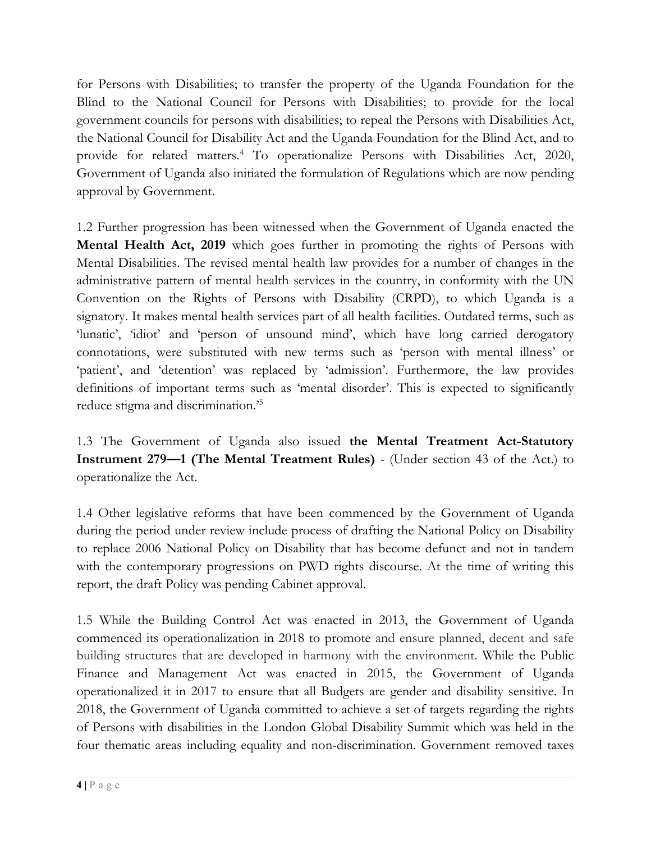for Persons with Disabilities; to transfer the property of the Uganda Foundation for the Blind to the National Council for Persons with Disabilities; to provide for the local government councils for persons with disabilities; to repeal the Persons with Disabilities Act, the National Council for Disability Act and the Uganda Foundation for the Blind Act, and to provide for related matters. 4 To operationalize Persons with Disabilities Act, 2020, Government of Uganda also initiated the formulation of Regulations which are now pending approval by Government.

1.2 Further progression has been witnessed when the Government of Uganda enacted the **Mental Health Act, 2019** which goes further in promoting the rights of Persons with Mental Disabilities. The revised mental health law provides for <sup>a</sup> number of changes in the administrative pattern of mental health services in the country, in conformity with the UN Convention on the Rights of Persons with Disability (CRPD), to which Uganda is <sup>a</sup> signatory. It makes mental health services part of all health facilities. Outdated terms, such as 'lunatic', 'idiot' and 'person of unsound mind', which have long carried derogatory connotations, were substituted with new terms such as 'person with mental illness' or 'patient', and 'detention' was replaced by 'admission'. Furthermore, the law provides definitions of important terms such as 'mental disorder'. This is expected to significantly reduce stigma and discrimination.' 5

1.3 The Government of Uganda also issued **the Mental Treatment Act-Statutory Instrument 279—1 (The Mental Treatment Rules)** - (Under section 43 of the Act.) to operationalize the Act.

1.4 Other legislative reforms that have been commenced by the Government of Uganda during the period under review include process of drafting the National Policy on Disability to replace 2006 National Policy on Disability that has become defunct and not in tandem with the contemporary progressions on PWD rights discourse. At the time of writing this report, the draft Policy was pending Cabinet approval.

1.5 While the Building Control Act was enacted in 2013, the Government of Uganda commenced its operationalization in 2018 to promote and ensure planned, decent and safe building structures that are developed in harmony with the environment. While the Public Finance and Management Act was enacted in 2015, the Government of Uganda operationalized it in 2017 to ensure that all Budgets are gender and disability sensitive. In 2018, the Government of Uganda committed to achieve <sup>a</sup> set of targets regarding the rights of Persons with disabilities in the London Global Disability Summit which was held in the four thematic areas including equality and non-discrimination. Government removed taxes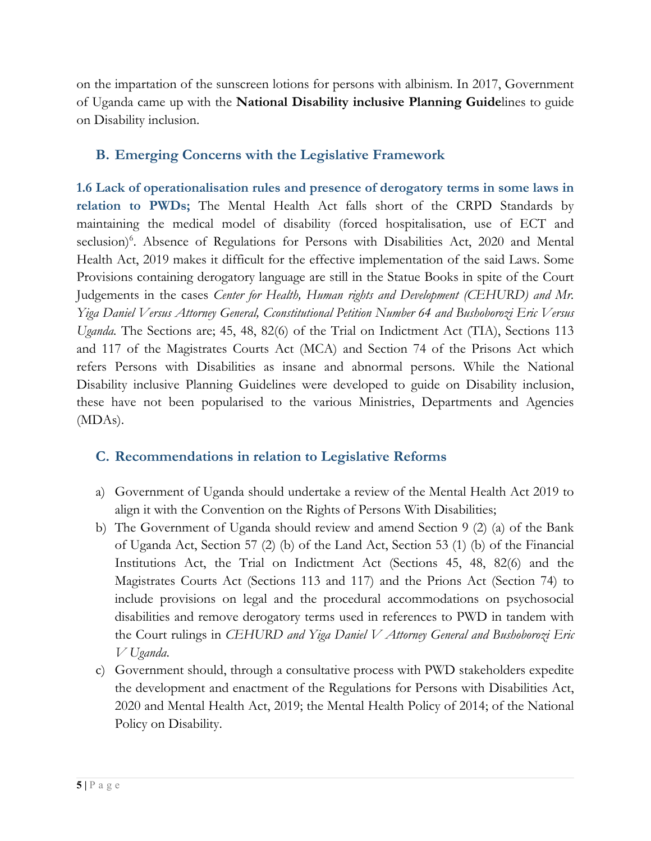on the impartation of the sunscreen lotions for persons with albinism. In 2017, Government of Uganda came up with the **National Disability inclusive Planning Guide**lines to guide on Disability inclusion.

#### **B. Emerging Concerns with the Legislative Framework**

**1.6 Lack of operationalisation rules and presence of derogatory terms in some laws in relation to PWDs;** The Mental Health Act falls short of the CRPD Standards by maintaining the medical model of disability (forced hospitalisation, use of ECT and seclusion) 6 . Absence of Regulations for Persons with Disabilities Act, 2020 and Mental Health Act, 2019 makes it difficult for the effective implementation of the said Laws. Some Provisions containing derogatory language are still in the Statue Books in spite of the Court Judgements in the cases *Center for Health, Human rights and Development (CEHURD) and Mr. Yiga Daniel Versus Attorney General, Cconstitutional Petition Number 64 and Bushoborozi Eric Versus Uganda.* The Sections are; 45, 48, 82(6) of the Trial on Indictment Act (TIA), Sections 113 and 117 of the Magistrates Courts Act (MCA) and Section 74 of the Prisons Act which refers Persons with Disabilities as insane and abnormal persons. While the National Disability inclusive Planning Guidelines were developed to guide on Disability inclusion, these have not been popularised to the various Ministries, Departments and Agencies (MDAs).

#### **C. Recommendations in relation to Legislative Reforms**

- a) Government of Uganda should undertake <sup>a</sup> review of the Mental Health Act 2019 to align it with the Convention on the Rights of Persons With Disabilities;
- b) The Government of Uganda should review and amend Section 9 (2) (a) of the Bank of Uganda Act, Section 57 (2) (b) of the Land Act, Section 53 (1) (b) of the Financial Institutions Act, the Trial on Indictment Act (Sections 45, 48, 82(6) and the Magistrates Courts Act (Sections 113 and 117) and the Prions Act (Section 74) to include provisions on legal and the procedural accommodations on psychosocial disabilities and remove derogatory terms used in references to PWD in tandem with the Court rulings in *CEHURD and Yiga Daniel V Attorney General and Bushoborozi Eric V Uganda*.
- c) Government should, through <sup>a</sup> consultative process with PWD stakeholders expedite the development and enactment of the Regulations for Persons with Disabilities Act, 2020 and Mental Health Act, 2019; the Mental Health Policy of 2014; of the National Policy on Disability.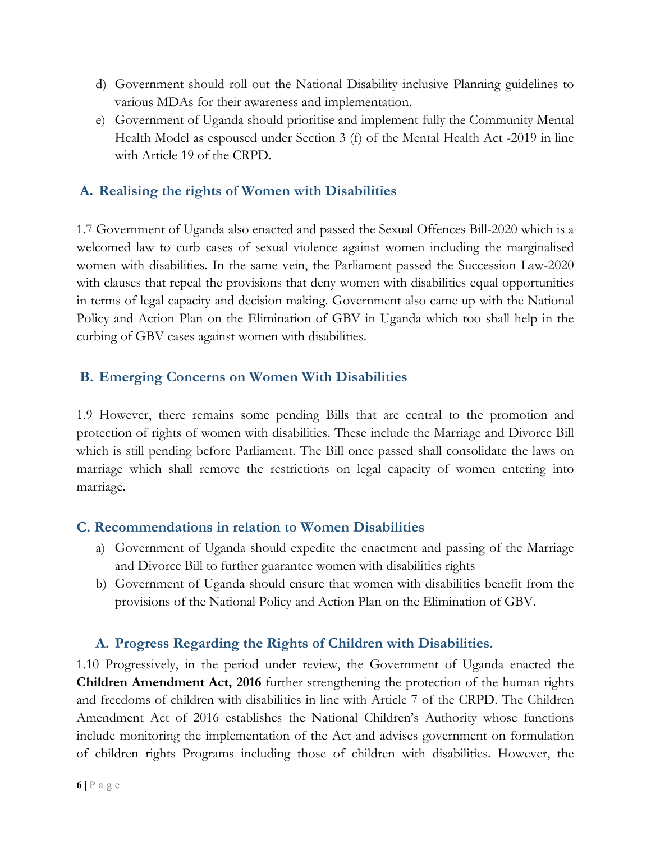- d) Government should roll out the National Disability inclusive Planning guidelines to various MDAs for their awareness and implementation.
- e) Government of Uganda should prioritise and implement fully the Community Mental Health Model as espoused under Section 3 (f) of the Mental Health Act -2019 in line with Article 19 of the CRPD.

# **A. Realising the rights of Women with Disabilities**

1.7 Government of Uganda also enacted and passed the Sexual Offences Bill-2020 which is <sup>a</sup> welcomed law to curb cases of sexual violence against women including the marginalised women with disabilities. In the same vein, the Parliament passed the Succession Law-2020 with clauses that repeal the provisions that deny women with disabilities equal opportunities in terms of legal capacity and decision making. Government also came up with the National Policy and Action Plan on the Elimination of GBV in Uganda which too shall help in the curbing of GBV cases against women with disabilities.

# **B. Emerging Concerns on Women With Disabilities**

1.9 However, there remains some pending Bills that are central to the promotion and protection of rights of women with disabilities. These include the Marriage and Divorce Bill which is still pending before Parliament. The Bill once passed shall consolidate the laws on marriage which shall remove the restrictions on legal capacity of women entering into marriage.

#### **C. Recommendations in relation to Women Disabilities**

- a) Government of Uganda should expedite the enactment and passing of the Marriage and Divorce Bill to further guarantee women with disabilities rights
- b) Government of Uganda should ensure that women with disabilities benefit from the provisions of the National Policy and Action Plan on the Elimination of GBV.

# **A. Progress Regarding the Rights of Children with Disabilities.**

1.10 Progressively, in the period under review, the Government of Uganda enacted the **Children Amendment Act, 2016** further strengthening the protection of the human rights and freedoms of children with disabilities in line with Article 7 of the CRPD. The Children Amendment Act of 2016 establishes the National Children'<sup>s</sup> Authority whose functions include monitoring the implementation of the Act and advises government on formulation of children rights Programs including those of children with disabilities. However, the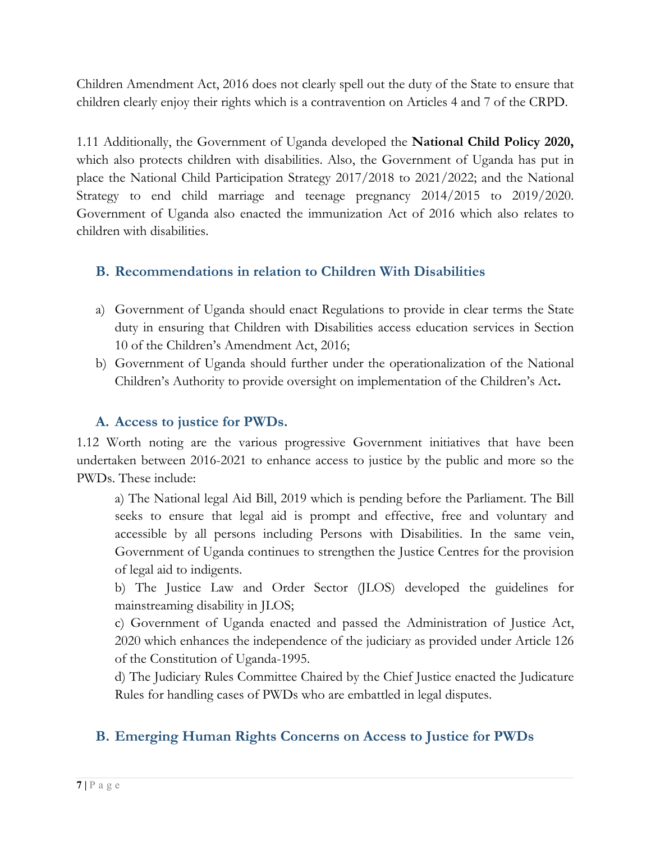Children Amendment Act, 2016 does not clearly spell out the duty of the State to ensure that children clearly enjoy their rights which is <sup>a</sup> contravention on Articles 4 and <sup>7</sup> of the CRPD.

1.11 Additionally, the Government of Uganda developed the **National Child Policy 2020,** which also protects children with disabilities. Also, the Government of Uganda has put in place the National Child Participation Strategy 2017/2018 to 2021/2022; and the National Strategy to end child marriage and teenage pregnancy 2014/2015 to 2019/2020. Government of Uganda also enacted the immunization Act of 2016 which also relates to children with disabilities.

## **B. Recommendations in relation to Children With Disabilities**

- a) Government of Uganda should enact Regulations to provide in clear terms the State duty in ensuring that Children with Disabilities access education services in Section 10 of the Children'<sup>s</sup> Amendment Act, 2016;
- b) Government of Uganda should further under the operationalization of the National Children'<sup>s</sup> Authority to provide oversight on implementation of the Children'<sup>s</sup> Act**.**

#### **A. Access to justice for PWDs.**

1.12 Worth noting are the various progressive Government initiatives that have been undertaken between 2016-2021 to enhance access to justice by the public and more so the PWDs. These include:

a) The National legal Aid Bill, 2019 which is pending before the Parliament. The Bill seeks to ensure that legal aid is prompt and effective, free and voluntary and accessible by all persons including Persons with Disabilities. In the same vein, Government of Uganda continues to strengthen the Justice Centres for the provision of legal aid to indigents.

b) The Justice Law and Order Sector (JLOS) developed the guidelines for mainstreaming disability in JLOS;

c) Government of Uganda enacted and passed the Administration of Justice Act, 2020 which enhances the independence of the judiciary as provided under Article 126 of the Constitution of Uganda-1995.

d) The Judiciary Rules Committee Chaired by the Chief Justice enacted the Judicature Rules for handling cases of PWDs who are embattled in legal disputes.

# **B. Emerging Human Rights Concerns on Access to Justice for PWDs**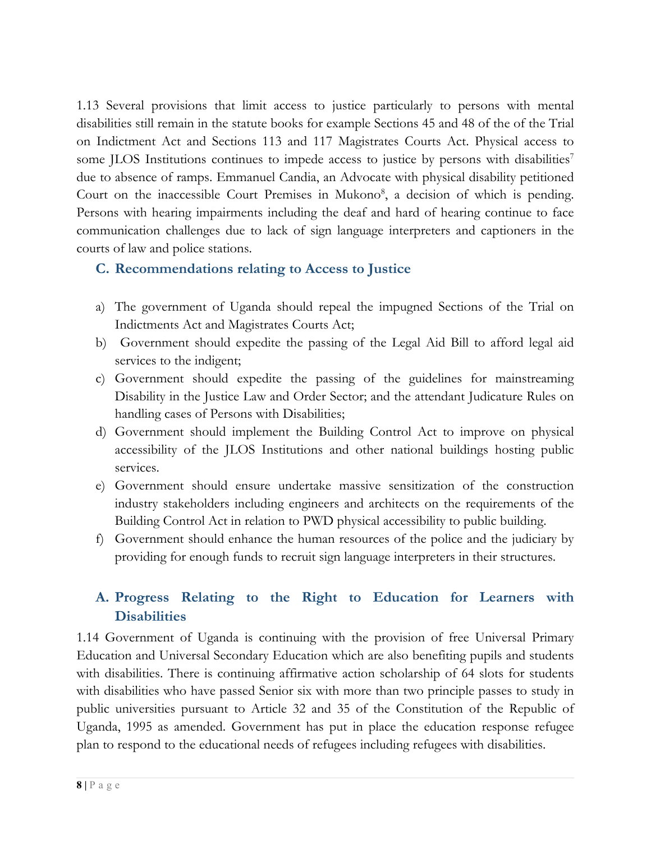1.13 Several provisions that limit access to justice particularly to persons with mental disabilities still remain in the statute books for example Sections 45 and 48 of the of the Trial on Indictment Act and Sections 113 and 117 Magistrates Courts Act. Physical access to some JLOS Institutions continues to impede access to justice by persons with disabilities<sup>7</sup> due to absence of ramps. Emmanuel Candia, an Advocate with physical disability petitioned Court on the inaccessible Court Premises in Mukono<sup>8</sup>, a decision of which is pending. Persons with hearing impairments including the deaf and hard of hearing continue to face communication challenges due to lack of sign language interpreters and captioners in the courts of law and police stations.

## **C. Recommendations relating to Access to Justice**

- a) The government of Uganda should repeal the impugned Sections of the Trial on Indictments Act and Magistrates Courts Act;
- b) Government should expedite the passing of the Legal Aid Bill to afford legal aid services to the indigent;
- c) Government should expedite the passing of the guidelines for mainstreaming Disability in the Justice Law and Order Sector; and the attendant Judicature Rules on handling cases of Persons with Disabilities;
- d) Government should implement the Building Control Act to improve on physical accessibility of the JLOS Institutions and other national buildings hosting public services.
- e) Government should ensure undertake massive sensitization of the construction industry stakeholders including engineers and architects on the requirements of the Building Control Act in relation to PWD physical accessibility to public building.
- f) Government should enhance the human resources of the police and the judiciary by providing for enough funds to recruit sign language interpreters in their structures.

# **A. Progress Relating to the Right to Education for Learners with Disabilities**

1.14 Government of Uganda is continuing with the provision of free Universal Primary Education and Universal Secondary Education which are also benefiting pupils and students with disabilities. There is continuing affirmative action scholarship of 64 slots for students with disabilities who have passed Senior six with more than two principle passes to study in public universities pursuant to Article 32 and 35 of the Constitution of the Republic of Uganda, 1995 as amended. Government has put in place the education response refugee plan to respond to the educational needs of refugees including refugees with disabilities.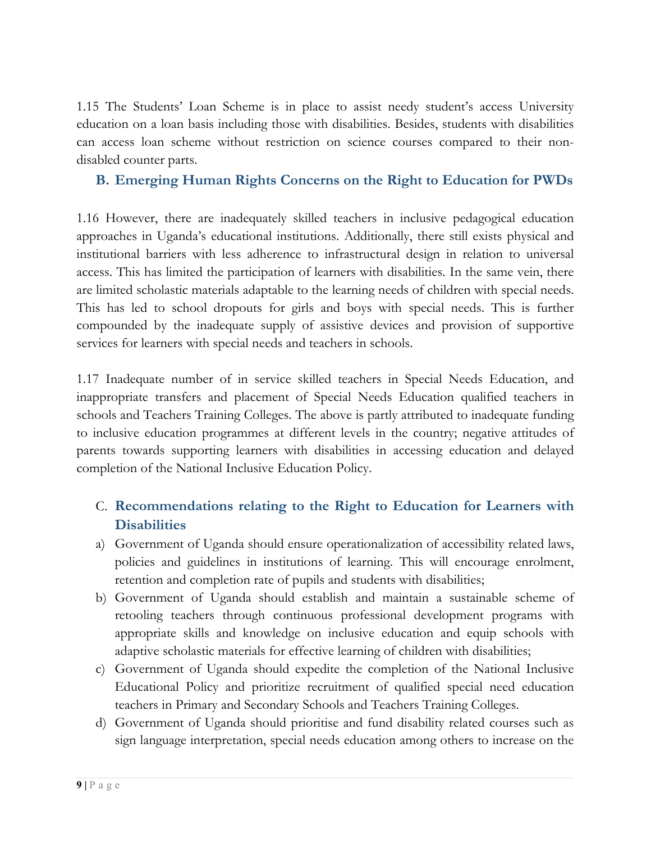1.15 The Students' Loan Scheme is in place to assist needy student'<sup>s</sup> access University education on <sup>a</sup> loan basis including those with disabilities. Besides, students with disabilities can access loan scheme without restriction on science courses compared to their nondisabled counter parts.

### **B. Emerging Human Rights Concerns on the Right to Education for PWDs**

1.16 However, there are inadequately skilled teachers in inclusive pedagogical education approaches in Uganda'<sup>s</sup> educational institutions. Additionally, there still exists physical and institutional barriers with less adherence to infrastructural design in relation to universal access. This has limited the participation of learners with disabilities. In the same vein, there are limited scholastic materials adaptable to the learning needs of children with special needs. This has led to school dropouts for girls and boys with special needs. This is further compounded by the inadequate supply of assistive devices and provision of supportive services for learners with special needs and teachers in schools.

1.17 Inadequate number of in service skilled teachers in Special Needs Education, and inappropriate transfers and placement of Special Needs Education qualified teachers in schools and Teachers Training Colleges. The above is partly attributed to inadequate funding to inclusive education programmes at different levels in the country; negative attitudes of parents towards supporting learners with disabilities in accessing education and delayed completion of the National Inclusive Education Policy.

# C. **Recommendations relating to the Right to Education for Learners with Disabilities**

- a) Government of Uganda should ensure operationalization of accessibility related laws, policies and guidelines in institutions of learning. This will encourage enrolment, retention and completion rate of pupils and students with disabilities;
- b) Government of Uganda should establish and maintain <sup>a</sup> sustainable scheme of retooling teachers through continuous professional development programs with appropriate skills and knowledge on inclusive education and equip schools with adaptive scholastic materials for effective learning of children with disabilities;
- c) Government of Uganda should expedite the completion of the National Inclusive Educational Policy and prioritize recruitment of qualified special need education teachers in Primary and Secondary Schools and Teachers Training Colleges.
- d) Government of Uganda should prioritise and fund disability related courses such as sign language interpretation, special needs education among others to increase on the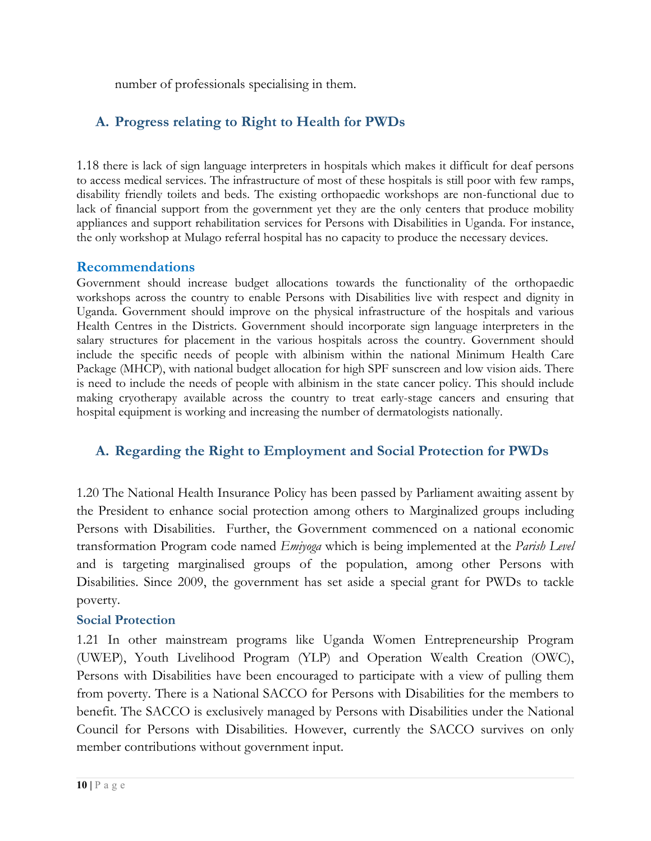number of professionals specialising in them.

# **A. Progress relating to Right to Health for PWDs**

1.18 there is lack of sign language interpreters in hospitals which makes it difficult for deaf persons to access medical services. The infrastructure of most of these hospitals is still poor with few ramps, disability friendly toilets and beds. The existing orthopaedic workshops are non-functional due to lack of financial support from the government ye<sup>t</sup> they are the only centers that produce mobility appliances and support rehabilitation services for Persons with Disabilities in Uganda. For instance, the only workshop at Mulago referral hospital has no capacity to produce the necessary devices.

#### **Recommendations**

Government should increase budget allocations towards the functionality of the orthopaedic workshops across the country to enable Persons with Disabilities live with respect and dignity in Uganda. Government should improve on the physical infrastructure of the hospitals and various Health Centres in the Districts. Government should incorporate sign language interpreters in the salary structures for placement in the various hospitals across the country. Government should include the specific needs of people with albinism within the national Minimum Health Care Package (MHCP), with national budget allocation for high SPF sunscreen and low vision aids. There is need to include the needs of people with albinism in the state cancer policy. This should include making cryotherapy available across the country to treat early-stage cancers and ensuring that hospital equipment is working and increasing the number of dermatologists nationally.

# **A. Regarding the Right to Employment and Social Protection for PWDs**

1.20 The National Health Insurance Policy has been passed by Parliament awaiting assent by the President to enhance social protection among others to Marginalized groups including Persons with Disabilities. Further, the Government commenced on <sup>a</sup> national economic transformation Program code named *Emiyoga* which is being implemented at the *Parish Level* and is targeting marginalised groups of the population, among other Persons with Disabilities. Since 2009, the government has set aside <sup>a</sup> special grant for PWDs to tackle poverty.

#### **Social Protection**

1.21 In other mainstream programs like Uganda Women Entrepreneurship Program (UWEP), Youth Livelihood Program (YLP) and Operation Wealth Creation (OWC), Persons with Disabilities have been encouraged to participate with <sup>a</sup> view of pulling them from poverty. There is <sup>a</sup> National SACCO for Persons with Disabilities for the members to benefit. The SACCO is exclusively managed by Persons with Disabilities under the National Council for Persons with Disabilities. However, currently the SACCO survives on only member contributions without government input.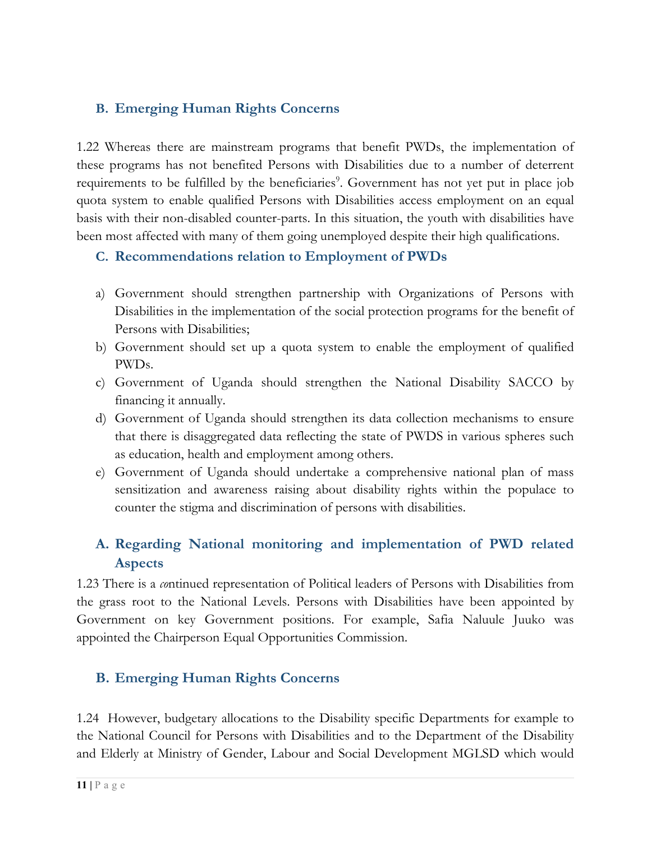## **B. Emerging Human Rights Concerns**

1.22 Whereas there are mainstream programs that benefit PWDs, the implementation of these programs has not benefited Persons with Disabilities due to <sup>a</sup> number of deterrent requirements to be fulfilled by the beneficiaries 9 . Government has not ye<sup>t</sup> put in place job quota system to enable qualified Persons with Disabilities access employment on an equal basis with their non-disabled counter-parts. In this situation, the youth with disabilities have been most affected with many of them going unemployed despite their high qualifications.

# **C. Recommendations relation to Employment of PWDs**

- a) Government should strengthen partnership with Organizations of Persons with Disabilities in the implementation of the social protection programs for the benefit of Persons with Disabilities;
- b) Government should set up <sup>a</sup> quota system to enable the employment of qualified PWDs.
- c) Government of Uganda should strengthen the National Disability SACCO by financing it annually.
- d) Government of Uganda should strengthen its data collection mechanisms to ensure that there is disaggregated data reflecting the state of PWDS in various spheres such as education, health and employment among others.
- e) Government of Uganda should undertake <sup>a</sup> comprehensive national plan of mass sensitization and awareness raising about disability rights within the populace to counter the stigma and discrimination of persons with disabilities.

# **A. Regarding National monitoring and implementation of PWD related Aspects**

1.23 There is <sup>a</sup> *co*ntinued representation of Political leaders of Persons with Disabilities from the grass root to the National Levels. Persons with Disabilities have been appointed by Government on key Government positions. For example, Safia Naluule Juuko was appointed the Chairperson Equal Opportunities Commission.

# **B. Emerging Human Rights Concerns**

1.24 However, budgetary allocations to the Disability specific Departments for example to the National Council for Persons with Disabilities and to the Department of the Disability and Elderly at Ministry of Gender, Labour and Social Development MGLSD which would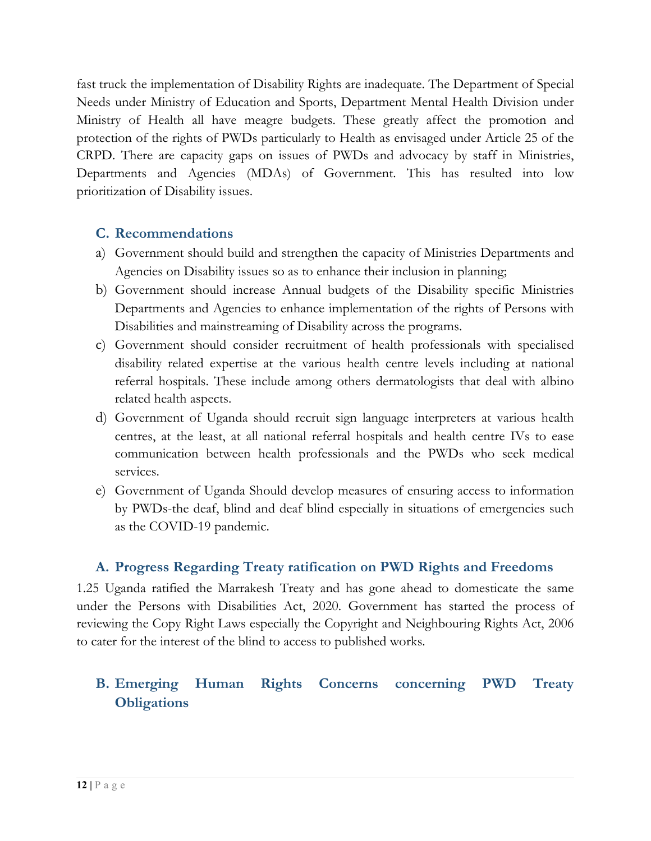fast truck the implementation of Disability Rights are inadequate. The Department of Special Needs under Ministry of Education and Sports, Department Mental Health Division under Ministry of Health all have meagre budgets. These greatly affect the promotion and protection of the rights of PWDs particularly to Health as envisaged under Article 25 of the CRPD. There are capacity gaps on issues of PWDs and advocacy by staff in Ministries, Departments and Agencies (MDAs) of Government. This has resulted into low prioritization of Disability issues.

#### **C. Recommendations**

- a) Government should build and strengthen the capacity of Ministries Departments and Agencies on Disability issues so as to enhance their inclusion in planning;
- b) Government should increase Annual budgets of the Disability specific Ministries Departments and Agencies to enhance implementation of the rights of Persons with Disabilities and mainstreaming of Disability across the programs.
- c) Government should consider recruitment of health professionals with specialised disability related expertise at the various health centre levels including at national referral hospitals. These include among others dermatologists that deal with albino related health aspects.
- d) Government of Uganda should recruit sign language interpreters at various health centres, at the least, at all national referral hospitals and health centre IVs to ease communication between health professionals and the PWDs who seek medical services.
- e) Government of Uganda Should develop measures of ensuring access to information by PWDs-the deaf, blind and deaf blind especially in situations of emergencies such as the COVID-19 pandemic.

#### **A. Progress Regarding Treaty ratification on PWD Rights and Freedoms**

1.25 Uganda ratified the Marrakesh Treaty and has gone ahead to domesticate the same under the Persons with Disabilities Act, 2020. Government has started the process of reviewing the Copy Right Laws especially the Copyright and Neighbouring Rights Act, 2006 to cater for the interest of the blind to access to published works.

# **B. Emerging Human Rights Concerns concerning PWD Treaty Obligations**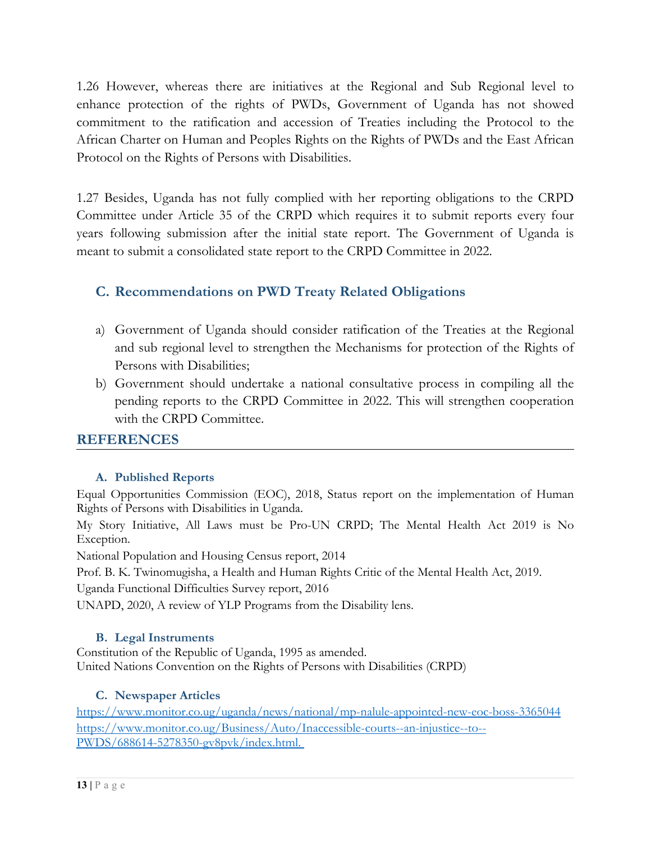1.26 However, whereas there are initiatives at the Regional and Sub Regional level to enhance protection of the rights of PWDs, Government of Uganda has not showed commitment to the ratification and accession of Treaties including the Protocol to the African Charter on Human and Peoples Rights on the Rights of PWDs and the East African Protocol on the Rights of Persons with Disabilities.

1.27 Besides, Uganda has not fully complied with her reporting obligations to the CRPD Committee under Article 35 of the CRPD which requires it to submit reports every four years following submission after the initial state report. The Government of Uganda is meant to submit <sup>a</sup> consolidated state report to the CRPD Committee in 2022.

#### **C. Recommendations on PWD Treaty Related Obligations**

- a) Government of Uganda should consider ratification of the Treaties at the Regional and sub regional level to strengthen the Mechanisms for protection of the Rights of Persons with Disabilities;
- b) Government should undertake <sup>a</sup> national consultative process in compiling all the pending reports to the CRPD Committee in 2022. This will strengthen cooperation with the CRPD Committee.

#### **REFERENCES**

#### **A. Published Reports**

Equal Opportunities Commission (EOC), 2018, Status report on the implementation of Human Rights of Persons with Disabilities in Uganda.

My Story Initiative, All Laws must be Pro-UN CRPD; The Mental Health Act 2019 is No Exception.

National Population and Housing Census report, 2014

Prof. B. K. Twinomugisha, <sup>a</sup> Health and Human Rights Critic of the Mental Health Act, 2019.

Uganda Functional Difficulties Survey report, 2016

UNAPD, 2020, A review of YLP Programs from the Disability lens.

#### **B. Legal Instruments**

Constitution of the Republic of Uganda, 1995 as amended. United Nations Convention on the Rights of Persons with Disabilities (CRPD)

#### **C. Newspaper Articles**

<https://www.monitor.co.ug/uganda/news/national/mp-nalule-appointed-new-eoc-boss-3365044> [https://www.monitor.co.ug/Business/Auto/Inaccessible-courts--an-injustice--to--](https://www.monitor.co.ug/Business/Auto/Inaccessible-courts--an-injustice--to--PWDS/688614-5278350-gv8pvk/index.html) [PWDS/688614-5278350-gv8pvk/index.html](https://www.monitor.co.ug/Business/Auto/Inaccessible-courts--an-injustice--to--PWDS/688614-5278350-gv8pvk/index.html).